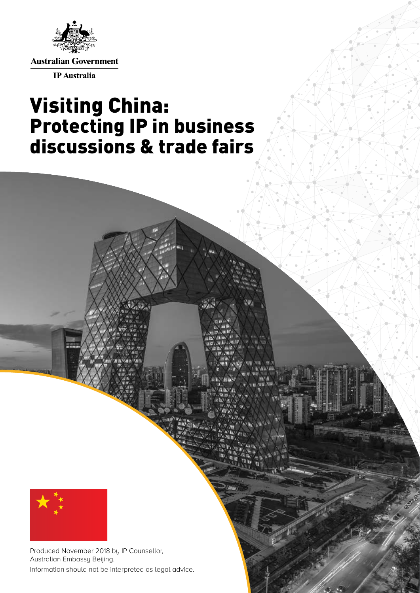

# Visiting China: Protecting IP in business discussions & trade fairs



Produced November 2018 by IP Counsellor, Australian Embassy Beijing. Information should not be interpreted as legal advice.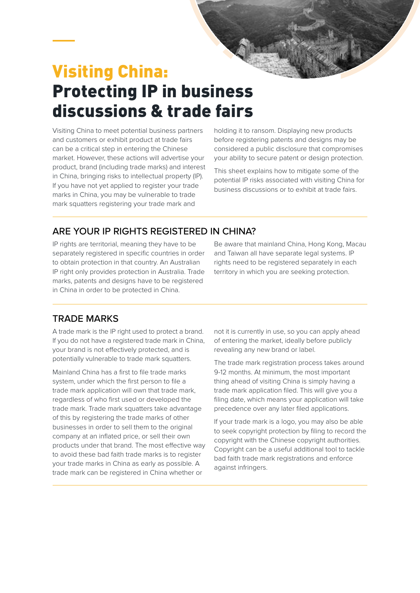### Visiting China: Protecting IP in business discussions & trade fairs

Visiting China to meet potential business partners and customers or exhibit product at trade fairs can be a critical step in entering the Chinese market. However, these actions will advertise your product, brand (including trade marks) and interest in China, bringing risks to intellectual property (IP). If you have not yet applied to register your trade marks in China, you may be vulnerable to trade mark squatters registering your trade mark and

holding it to ransom. Displaying new products before registering patents and designs may be considered a public disclosure that compromises your ability to secure patent or design protection.

This sheet explains how to mitigate some of the potential IP risks associated with visiting China for business discussions or to exhibit at trade fairs.

#### Are your IP rights registered in China?

IP rights are territorial, meaning they have to be separately registered in specific countries in order to obtain protection in that country. An Australian IP right only provides protection in Australia. Trade marks, patents and designs have to be registered in China in order to be protected in China.

Be aware that mainland China, Hong Kong, Macau and Taiwan all have separate legal systems. IP rights need to be registered separately in each territory in which you are seeking protection.

#### Trade marks

A trade mark is the IP right used to protect a brand. If you do not have a registered trade mark in China, your brand is not effectively protected, and is potentially vulnerable to trade mark squatters.

Mainland China has a first to file trade marks system, under which the first person to file a trade mark application will own that trade mark, regardless of who first used or developed the trade mark. Trade mark squatters take advantage of this by registering the trade marks of other businesses in order to sell them to the original company at an inflated price, or sell their own products under that brand. The most effective way to avoid these bad faith trade marks is to register your trade marks in China as early as possible. A trade mark can be registered in China whether or

not it is currently in use, so you can apply ahead of entering the market, ideally before publicly revealing any new brand or label.

The trade mark registration process takes around 9-12 months. At minimum, the most important thing ahead of visiting China is simply having a trade mark application filed. This will give you a filing date, which means your application will take precedence over any later filed applications.

If your trade mark is a logo, you may also be able to seek copyright protection by filing to record the copyright with the Chinese copyright authorities. Copyright can be a useful additional tool to tackle bad faith trade mark registrations and enforce against infringers.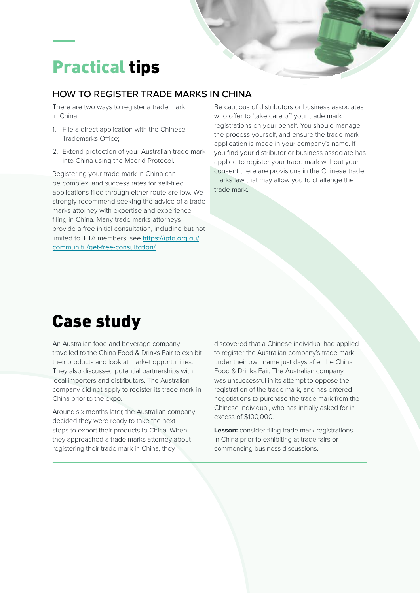## Practical tips

#### How to register trade marks in China

There are two ways to register a trade mark in China:

- 1. File a direct application with the Chinese Trademarks Office;
- 2. Extend protection of your Australian trade mark into China using the Madrid Protocol.

Registering your trade mark in China can be complex, and success rates for self-filed applications filed through either route are low. We strongly recommend seeking the advice of a trade marks attorney with expertise and experience filing in China. Many trade marks attorneys provide a free initial consultation, including but not limited to IPTA members: see [https://ipta.org.au/](https://ipta.org.au/community/get-free-consultation/) [community/get-free-consultation/](https://ipta.org.au/community/get-free-consultation/)

Be cautious of distributors or business associates who offer to 'take care of' your trade mark registrations on your behalf. You should manage the process yourself, and ensure the trade mark application is made in your company's name. If you find your distributor or business associate has applied to register your trade mark without your consent there are provisions in the Chinese trade marks law that may allow you to challenge the trade mark.

### Case study

An Australian food and beverage company travelled to the China Food & Drinks Fair to exhibit their products and look at market opportunities. They also discussed potential partnerships with local importers and distributors. The Australian company did not apply to register its trade mark in China prior to the expo.

Around six months later, the Australian company decided they were ready to take the next steps to export their products to China. When they approached a trade marks attorney about registering their trade mark in China, they

discovered that a Chinese individual had applied to register the Australian company's trade mark under their own name just days after the China Food & Drinks Fair. The Australian company was unsuccessful in its attempt to oppose the registration of the trade mark, and has entered negotiations to purchase the trade mark from the Chinese individual, who has initially asked for in excess of \$100,000.

**Lesson:** consider filing trade mark registrations in China prior to exhibiting at trade fairs or commencing business discussions.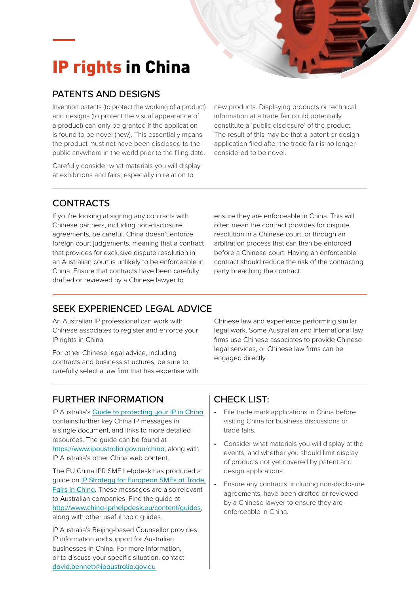### IP rights in China

### Patents and designs

Invention patents (to protect the working of a product) and designs (to protect the visual appearance of a product) can only be granted if the application is found to be novel (new). This essentially means the product must not have been disclosed to the public anywhere in the world prior to the filing date.

Carefully consider what materials you will display at exhibitions and fairs, especially in relation to

new products. Displaying products or technical information at a trade fair could potentially constitute a 'public disclosure' of the product. The result of this may be that a patent or design application filed after the trade fair is no longer considered to be novel.

### **CONTRACTS**

If you're looking at signing any contracts with Chinese partners, including non-disclosure agreements, be careful. China doesn't enforce foreign court judgements, meaning that a contract that provides for exclusive dispute resolution in an Australian court is unlikely to be enforceable in China. Ensure that contracts have been carefully drafted or reviewed by a Chinese lawyer to

ensure they are enforceable in China. This will often mean the contract provides for dispute resolution in a Chinese court, or through an arbitration process that can then be enforced before a Chinese court. Having an enforceable contract should reduce the risk of the contracting party breaching the contract.

### Seek experienced legal advice

An Australian IP professional can work with Chinese associates to register and enforce your IP rights in China.

For other Chinese legal advice, including contracts and business structures, be sure to carefully select a law firm that has expertise with Chinese law and experience performing similar legal work. Some Australian and international law firms use Chinese associates to provide Chinese legal services, or Chinese law firms can be engaged directly.

### Further information

IP Australia's [Guide to protecting your IP in China](https://ipaustralia.govcms.gov.au/sites/g/files/net856/f/protecting_your_ip_in_china_guide.pdf) contains further key China IP messages in a single document, and links to more detailed resources. The guide can be found at <https://www.ipaustralia.gov.au/china>, along with IP Australia's other China web content.

The EU China IPR SME helpdesk has produced a guide on [IP Strategy for European SMEs at Trade](http://www.china-iprhelpdesk.eu/sites/all/docs/publications/EN_TF.pdf)  [Fairs in China](http://www.china-iprhelpdesk.eu/sites/all/docs/publications/EN_TF.pdf). These messages are also relevant to Australian companies. Find the guide at <http://www.china-iprhelpdesk.eu/content/guides>, along with other useful topic guides.

IP Australia's Beijing-based Counsellor provides IP information and support for Australian businesses in China. For more information, or to discuss your specific situation, contact [david.bennett@ipaustralia.gov.au](mailto:david.bennett%40ipaustralia.gov.au?subject=)

### Check list:

- • File trade mark applications in China before visiting China for business discussions or trade fairs.
- • Consider what materials you will display at the events, and whether you should limit display of products not yet covered by patent and design applications.
- • Ensure any contracts, including non-disclosure agreements, have been drafted or reviewed by a Chinese lawyer to ensure they are enforceable in China.